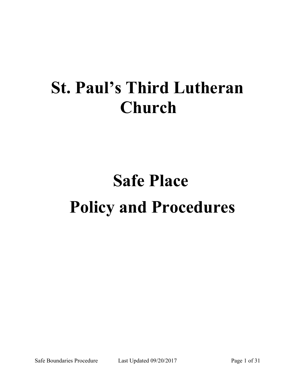# **St. Paul's Third Lutheran Church**

# **Safe PlacePolicy and Procedures**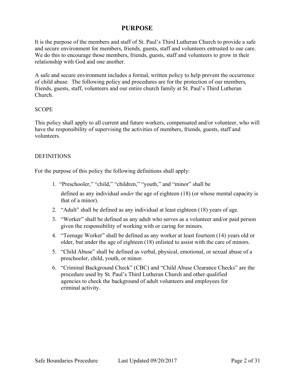# **PURPOSE**

It is the purpose of the members and staff of St. Paul's Third Lutheran Church to provide a safe and secure environment for members, friends, guests, staff and volunteers entrusted to our care. We do this to encourage those members, friends, guests, staff and volunteers to grow in their relationship with God and one another.

A safe and secure environment includes a formal, written policy to help prevent the occurrence of child abuse. The following policy and procedures are for the protection of our members, friends, guests, staff, volunteers and our entire church family at St. Paul's Third Lutheran Church.

#### **SCOPE**

This policy shall apply to all current and future workers, compensated and/or volunteer, who will have the responsibility of supervising the activities of members, friends, guests, staff and volunteers.

### **DEFINITIONS**

For the purpose of this policy the following definitions shall apply:

1. "Preschooler," "child," "children," "youth," and "minor" shall be

defined as any individual *under* the age of eighteen (18) (or whose mental capacity is that of a minor).

- 2. "Adult" shall be defined as any individual at least eighteen (18) years of age.
- 3. "Worker" shall be defined as any adult who serves as a volunteer and/or paid person given the responsibility of working with or caring for minors.
- 4. "Teenage Worker" shall be defined as any worker at least fourteen (14) years old or older, but under the age of eighteen (18) enlisted to assist with the care of minors.
- 5. "Child Abuse" shall be defined as verbal, physical, emotional, or sexual abuse of a preschooler, child, youth, or minor.
- 6. "Criminal Background Check" (CBC) and "Child Abuse Clearance Checks" are the procedure used by St. Paul's Third Lutheran Church and other qualified agencies to check the background of adult volunteers and employees for criminal activity.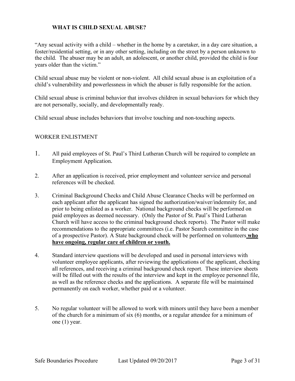## **WHAT IS CHILD SEXUAL ABUSE?**

"Any sexual activity with a child – whether in the home by a caretaker, in a day care situation, a foster/residential setting, or in any other setting, including on the street by a person unknown to the child. The abuser may be an adult, an adolescent, or another child, provided the child is four years older than the victim."

Child sexual abuse may be violent or non-violent. All child sexual abuse is an exploitation of a child's vulnerability and powerlessness in which the abuser is fully responsible for the action.

Child sexual abuse is criminal behavior that involves children in sexual behaviors for which they are not personally, socially, and developmentally ready.

Child sexual abuse includes behaviors that involve touching and non-touching aspects.

#### WORKER ENLISTMENT

- 1. All paid employees of St. Paul's Third Lutheran Church will be required to complete an Employment Application.
- 2. After an application is received, prior employment and volunteer service and personal references will be checked.
- 3. Criminal Background Checks and Child Abuse Clearance Checks will be performed on each applicant after the applicant has signed the authorization/waiver/indemnity for, and prior to being enlisted as a worker. National background checks will be performed on paid employees as deemed necessary. (Only the Pastor of St. Paul's Third Lutheran Church will have access to the criminal background check reports). The Pastor will make recommendations to the appropriate committees (i.e. Pastor Search committee in the case of a prospective Pastor). A State background check will be performed on volunteers **who have ongoing, regular care of children or youth.**
- 4. Standard interview questions will be developed and used in personal interviews with volunteer employee applicants, after reviewing the applications of the applicant, checking all references, and receiving a criminal background check report. These interview sheets will be filled out with the results of the interview and kept in the employee personnel file, as well as the reference checks and the applications. A separate file will be maintained permanently on each worker, whether paid or a volunteer.
- 5. No regular volunteer will be allowed to work with minors until they have been a member of the church for a minimum of six (6) months, or a regular attendee for a minimum of one (1) year.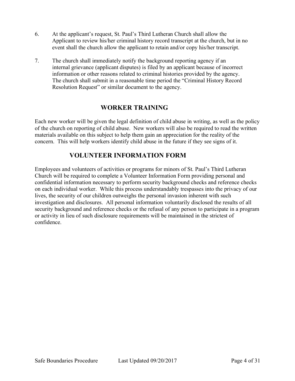- 6. At the applicant's request, St. Paul's Third Lutheran Church shall allow the Applicant to review his/her criminal history record transcript at the church, but in no event shall the church allow the applicant to retain and/or copy his/her transcript.
- 7. The church shall immediately notify the background reporting agency if an internal grievance (applicant disputes) is filed by an applicant because of incorrect information or other reasons related to criminal histories provided by the agency. The church shall submit in a reasonable time period the "Criminal History Record Resolution Request" or similar document to the agency.

# **WORKER TRAINING**

Each new worker will be given the legal definition of child abuse in writing, as well as the policy of the church on reporting of child abuse. New workers will also be required to read the written materials available on this subject to help them gain an appreciation for the reality of the concern. This will help workers identify child abuse in the future if they see signs of it.

# **VOLUNTEER INFORMATION FORM**

Employees and volunteers of activities or programs for minors of St. Paul's Third Lutheran Church will be required to complete a Volunteer Information Form providing personal and confidential information necessary to perform security background checks and reference checks on each individual worker. While this process understandably trespasses into the privacy of our lives, the security of our children outweighs the personal invasion inherent with such investigation and disclosures. All personal information voluntarily disclosed the results of all security background and reference checks or the refusal of any person to participate in a program or activity in lieu of such disclosure requirements will be maintained in the strictest of confidence.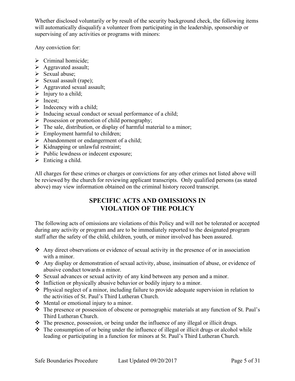Whether disclosed voluntarily or by result of the security background check, the following items will automatically disqualify a volunteer from participating in the leadership, sponsorship or supervising of any activities or programs with minors:

Any conviction for:

- $\triangleright$  Criminal homicide;
- Ø Aggravated assault;
- $\triangleright$  Sexual abuse;
- $\triangleright$  Sexual assault (rape);
- $\triangleright$  Aggravated sexual assault;
- $\triangleright$  Injury to a child;
- $\triangleright$  Incest:
- $\triangleright$  Indecency with a child;
- $\triangleright$  Inducing sexual conduct or sexual performance of a child;
- $\triangleright$  Possession or promotion of child pornography;
- $\triangleright$  The sale, distribution, or display of harmful material to a minor;
- $\triangleright$  Employment harmful to children;
- $\triangleright$  Abandonment or endangerment of a child;
- $\triangleright$  Kidnapping or unlawful restraint;
- $\triangleright$  Public lewdness or indecent exposure;
- $\triangleright$  Enticing a child.

All charges for these crimes or charges or convictions for any other crimes not listed above will be reviewed by the church for reviewing applicant transcripts. Only qualified persons (as stated above) may view information obtained on the criminal history record transcript.

# **SPECIFIC ACTS AND OMISSIONS IN VIOLATION OF THE POLICY**

The following acts of omissions are violations of this Policy and will not be tolerated or accepted during any activity or program and are to be immediately reported to the designated program staff after the safety of the child, children, youth, or minor involved has been assured.

- $\triangle$  Any direct observations or evidence of sexual activity in the presence of or in association with a minor.
- $\triangle$  Any display or demonstration of sexual activity, abuse, insinuation of abuse, or evidence of abusive conduct towards a minor.
- Sexual advances or sexual activity of any kind between any person and a minor.
- $\triangleleft$  Infliction or physically abusive behavior or bodily injury to a minor.
- $\triangle$  Physical neglect of a minor, including failure to provide adequate supervision in relation to the activities of St. Paul's Third Lutheran Church.
- $\triangleleft$  Mental or emotional injury to a minor.
- $\cdot \cdot$  The presence or possession of obscene or pornographic materials at any function of St. Paul's Third Lutheran Church.
- $\cdot$  The presence, possession, or being under the influence of any illegal or illicit drugs.
- $\cdot$  The consumption of or being under the influence of illegal or illicit drugs or alcohol while leading or participating in a function for minors at St. Paul's Third Lutheran Church.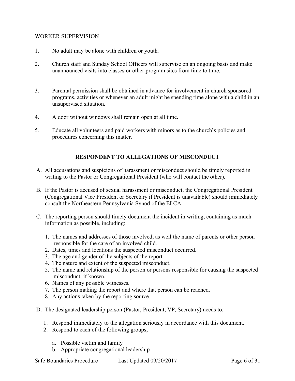#### WORKER SUPERVISION

- 1. No adult may be alone with children or youth.
- 2. Church staff and Sunday School Officers will supervise on an ongoing basis and make unannounced visits into classes or other program sites from time to time.
- 3. Parental permission shall be obtained in advance for involvement in church sponsored programs, activities or whenever an adult might be spending time alone with a child in an unsupervised situation.
- 4. A door without windows shall remain open at all time.
- 5. Educate all volunteers and paid workers with minors as to the church's policies and procedures concerning this matter.

#### **RESPONDENT TO ALLEGATIONS OF MISCONDUCT**

- A. All accusations and suspicions of harassment or misconduct should be timely reported in writing to the Pastor or Congregational President (who will contact the other).
- B. If the Pastor is accused of sexual harassment or misconduct, the Congregational President (Congregational Vice President or Secretary if President is unavailable) should immediately consult the Northeastern Pennsylvania Synod of the ELCA.
- C. The reporting person should timely document the incident in writing, containing as much information as possible, including:
	- 1. The names and addresses of those involved, as well the name of parents or other person responsible for the care of an involved child.
	- 2. Dates, times and locations the suspected misconduct occurred.
	- 3. The age and gender of the subjects of the report.
	- 4. The nature and extent of the suspected misconduct.
	- 5. The name and relationship of the person or persons responsible for causing the suspected misconduct, if known.
	- 6. Names of any possible witnesses.
	- 7. The person making the report and where that person can be reached.
	- 8. Any actions taken by the reporting source.
- D. The designated leadership person (Pastor, President, VP, Secretary) needs to:
	- 1. Respond immediately to the allegation seriously in accordance with this document.
	- 2. Respond to each of the following groups;
		- a. Possible victim and family
		- b. Appropriate congregational leadership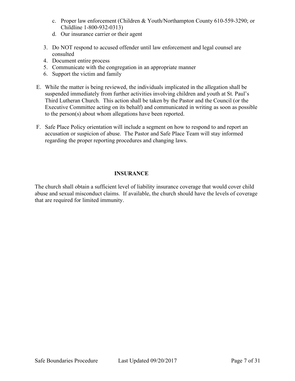- c. Proper law enforcement (Children & Youth/Northampton County 610-559-3290; or Childline 1-800-932-0313)
- d. Our insurance carrier or their agent
- 3. Do NOT respond to accused offender until law enforcement and legal counsel are consulted
- 4. Document entire process
- 5. Communicate with the congregation in an appropriate manner
- 6. Support the victim and family
- E. While the matter is being reviewed, the individuals implicated in the allegation shall be suspended immediately from further activities involving children and youth at St. Paul's Third Lutheran Church. This action shall be taken by the Pastor and the Council (or the Executive Committee acting on its behalf) and communicated in writing as soon as possible to the person(s) about whom allegations have been reported.
- F. Safe Place Policy orientation will include a segment on how to respond to and report an accusation or suspicion of abuse. The Pastor and Safe Place Team will stay informed regarding the proper reporting procedures and changing laws.

# **INSURANCE**

The church shall obtain a sufficient level of liability insurance coverage that would cover child abuse and sexual misconduct claims. If available, the church should have the levels of coverage that are required for limited immunity.